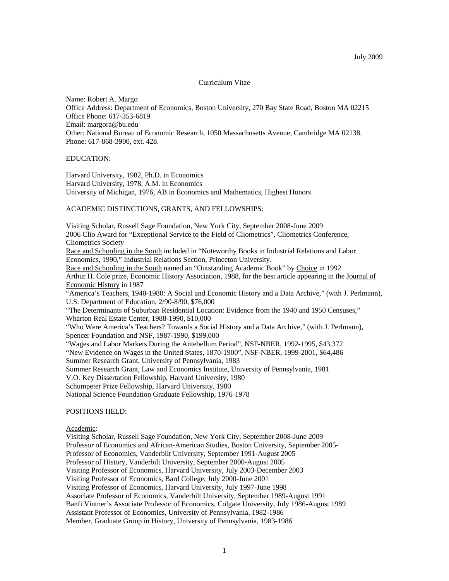## Curriculum Vitae

Name: Robert A. Margo Office Address: Department of Economics, Boston University, 270 Bay State Road, Boston MA 02215 Office Phone: 617-353-6819 Email: margora@bu.edu Other: National Bureau of Economic Research, 1050 Massachusetts Avenue, Cambridge MA 02138. Phone: 617-868-3900, ext. 428.

#### EDUCATION:

Harvard University, 1982, Ph.D. in Economics Harvard University, 1978, A.M. in Economics University of Michigan, 1976, AB in Economics and Mathematics, Highest Honors

#### ACADEMIC DISTINCTIONS, GRANTS, AND FELLOWSHIPS:

Visiting Scholar, Russell Sage Foundation, New York City, September 2008-June 2009 2006 Clio Award for "Exceptional Service to the Field of Cliometrics", Cliometrics Conference, Cliometrics Society Race and Schooling in the South included in "Noteworthy Books in Industrial Relations and Labor Economics, 1990," Industrial Relations Section, Princeton University. Race and Schooling in the South named an "Outstanding Academic Book" by Choice in 1992 Arthur H. Cole prize, Economic History Association, 1988, for the best article appearing in the Journal of Economic History in 1987 "America's Teachers, 1940-1980: A Social and Economic History and a Data Archive," (with J. Perlmann), U.S. Department of Education, 2/90-8/90, \$76,000 "The Determinants of Suburban Residential Location: Evidence from the 1940 and 1950 Censuses," Wharton Real Estate Center, 1988-1990, \$10,000 "Who Were America's Teachers? Towards a Social History and a Data Archive," (with J. Perlmann), Spencer Foundation and NSF, 1987-1990, \$199,000 "Wages and Labor Markets During the Antebellum Period", NSF-NBER, 1992-1995, \$43,372 "New Evidence on Wages in the United States, 1870-1900", NSF-NBER, 1999-2001, \$64,486 Summer Research Grant, University of Pennsylvania, 1983 Summer Research Grant, Law and Economics Institute, University of Pennsylvania, 1981 V.O. Key Dissertation Fellowship, Harvard University, 1980 Schumpeter Prize Fellowship, Harvard University, 1980

National Science Foundation Graduate Fellowship, 1976-1978

# POSITIONS HELD:

Academic:

Visiting Scholar, Russell Sage Foundation, New York City, September 2008-June 2009 Professor of Economics and African-American Studies, Boston University, September 2005- Professor of Economics, Vanderbilt University, September 1991-August 2005 Professor of History, Vanderbilt University, September 2000-August 2005 Visiting Professor of Economics, Harvard University, July 2003-December 2003 Visiting Professor of Economics, Bard College, July 2000-June 2001 Visiting Professor of Economics, Harvard University, July 1997-June 1998 Associate Professor of Economics, Vanderbilt University, September 1989-August 1991 Banfi Vintner's Associate Professor of Economics, Colgate University, July 1986-August 1989 Assistant Professor of Economics, University of Pennsylvania, 1982-1986 Member, Graduate Group in History, University of Pennsylvania, 1983-1986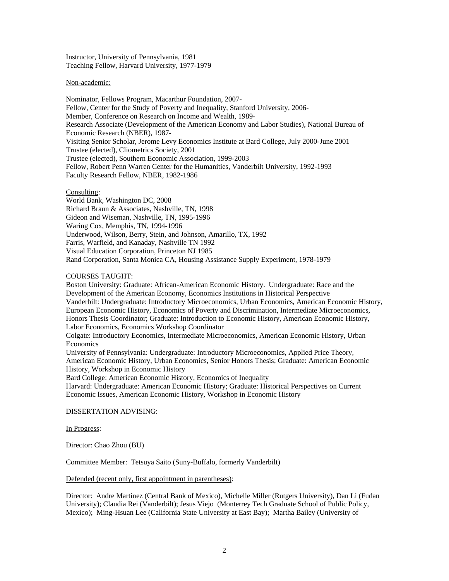Instructor, University of Pennsylvania, 1981 Teaching Fellow, Harvard University, 1977-1979

## Non-academic:

Nominator, Fellows Program, Macarthur Foundation, 2007- Fellow, Center for the Study of Poverty and Inequality, Stanford University, 2006- Member, Conference on Research on Income and Wealth, 1989- Research Associate (Development of the American Economy and Labor Studies), National Bureau of Economic Research (NBER), 1987- Visiting Senior Scholar, Jerome Levy Economics Institute at Bard College, July 2000-June 2001 Trustee (elected), Cliometrics Society, 2001 Trustee (elected), Southern Economic Association, 1999-2003 Fellow, Robert Penn Warren Center for the Humanities, Vanderbilt University, 1992-1993 Faculty Research Fellow, NBER, 1982-1986

# Consulting:

World Bank, Washington DC, 2008 Richard Braun & Associates, Nashville, TN, 1998 Gideon and Wiseman, Nashville, TN, 1995-1996 Waring Cox, Memphis, TN, 1994-1996 Underwood, Wilson, Berry, Stein, and Johnson, Amarillo, TX, 1992 Farris, Warfield, and Kanaday, Nashville TN 1992 Visual Education Corporation, Princeton NJ 1985 Rand Corporation, Santa Monica CA, Housing Assistance Supply Experiment, 1978-1979

## COURSES TAUGHT:

Boston University: Graduate: African-American Economic History. Undergraduate: Race and the Development of the American Economy, Economics Institutions in Historical Perspective Vanderbilt: Undergraduate: Introductory Microeconomics, Urban Economics, American Economic History, European Economic History, Economics of Poverty and Discrimination, Intermediate Microeconomics, Honors Thesis Coordinator; Graduate: Introduction to Economic History, American Economic History, Labor Economics, Economics Workshop Coordinator Colgate: Introductory Economics, Intermediate Microeconomics, American Economic History, Urban

Economics

University of Pennsylvania: Undergraduate: Introductory Microeconomics, Applied Price Theory, American Economic History, Urban Economics, Senior Honors Thesis; Graduate: American Economic History, Workshop in Economic History

Bard College: American Economic History, Economics of Inequality

Harvard: Undergraduate: American Economic History; Graduate: Historical Perspectives on Current Economic Issues, American Economic History, Workshop in Economic History

DISSERTATION ADVISING:

#### In Progress:

Director: Chao Zhou (BU)

Committee Member: Tetsuya Saito (Suny-Buffalo, formerly Vanderbilt)

Defended (recent only, first appointment in parentheses):

Director: Andre Martinez (Central Bank of Mexico), Michelle Miller (Rutgers University), Dan Li (Fudan University); Claudia Rei (Vanderbilt); Jesus Viejo (Monterrey Tech Graduate School of Public Policy, Mexico); Ming-Hsuan Lee (California State University at East Bay); Martha Bailey (University of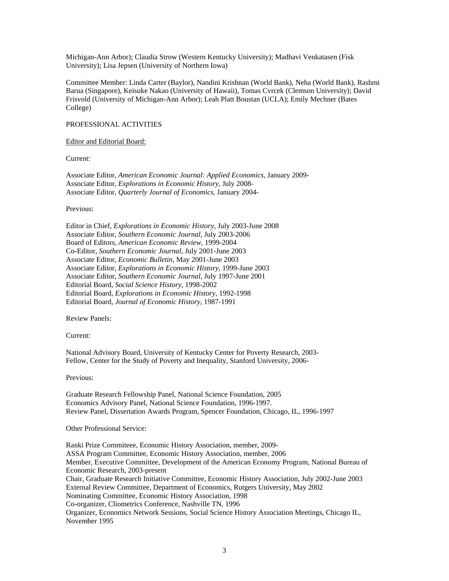Michigan-Ann Arbor); Claudia Strow (Western Kentucky University); Madhavi Venkatasen (Fisk University); Lisa Jepsen (University of Northern Iowa)

Committee Member: Linda Carter (Baylor), Nandini Krishnan (World Bank), Neha (World Bank), Rashmi Barua (Singapore), Keisuke Nakao (University of Hawaii), Tomas Cvrcek (Clemson University); David Frisvold (University of Michigan-Ann Arbor); Leah Platt Boustan (UCLA); Emily Mechner (Bates College)

## PROFESSIONAL ACTIVITIES

## Editor and Editorial Board:

Current:

Associate Editor, *American Economic Journal: Applied Economics*, January 2009- Associate Editor, *Explorations in Economic History*, July 2008- Associate Editor, *Quarterly Journal of Economics*, January 2004-

Previous:

Editor in Chief, *Explorations in Economic History*, July 2003-June 2008 Associate Editor, *Southern Economic Journal*, July 2003-2006 Board of Editors, *American Economic Review*, 1999-2004 Co-Editor, *Southern Economic Journal*, July 2001-June 2003 Associate Editor, *Economic Bulletin*, May 2001-June 2003 Associate Editor, *Explorations in Economic History*, 1999-June 2003 Associate Editor, *Southern Economic Journal*, July 1997-June 2001 Editorial Board, *Social Science History*, 1998-2002 Editorial Board, *Explorations in Economic History*, 1992-1998 Editorial Board, *Journal of Economic History*, 1987-1991

Review Panels:

Current:

National Advisory Board, University of Kentucky Center for Poverty Research, 2003- Fellow, Center for the Study of Poverty and Inequality, Stanford University, 2006-

Previous:

Graduate Research Fellowship Panel, National Science Foundation, 2005 Economics Advisory Panel, National Science Foundation, 1996-1997. Review Panel, Dissertation Awards Program, Spencer Foundation, Chicago, IL, 1996-1997

Other Professional Service:

Ranki Prize Commiteee, Economic History Association, member, 2009- ASSA Program Committee, Economic History Association, member, 2006 Member, Executive Committee, Development of the American Economy Program, National Bureau of Economic Research, 2003-present Chair, Graduate Research Initiative Committee, Economic History Association, July 2002-June 2003 External Review Committee, Department of Economics, Rutgers University, May 2002 Nominating Committee, Economic History Association, 1998 Co-organizer, Cliometrics Conference, Nashville TN, 1996 Organizer, Economics Network Sessions, Social Science History Association Meetings, Chicago IL, November 1995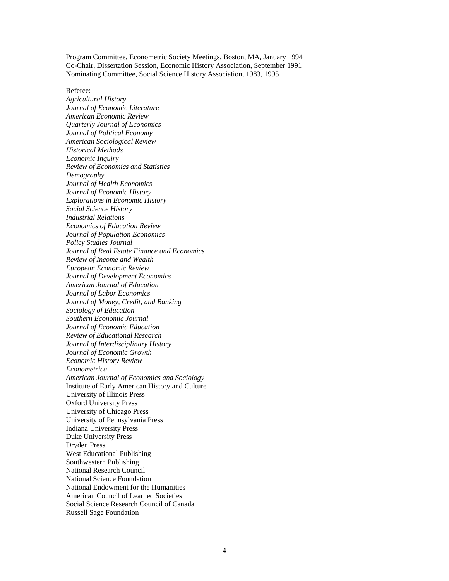Program Committee, Econometric Society Meetings, Boston, MA, January 1994 Co-Chair, Dissertation Session, Economic History Association, September 1991 Nominating Committee, Social Science History Association, 1983, 1995

Referee:

*Agricultural History Journal of Economic Literature American Economic Review Quarterly Journal of Economics Journal of Political Economy American Sociological Review Historical Methods Economic Inquiry Review of Economics and Statistics Demography Journal of Health Economics Journal of Economic History Explorations in Economic History Social Science History Industrial Relations Economics of Education Review Journal of Population Economics Policy Studies Journal Journal of Real Estate Finance and Economics Review of Income and Wealth European Economic Review Journal of Development Economics American Journal of Education Journal of Labor Economics Journal of Money, Credit, and Banking Sociology of Education Southern Economic Journal Journal of Economic Education Review of Educational Research Journal of Interdisciplinary History Journal of Economic Growth Economic History Review Econometrica American Journal of Economics and Sociology* Institute of Early American History and Culture University of Illinois Press Oxford University Press University of Chicago Press University of Pennsylvania Press Indiana University Press Duke University Press Dryden Press West Educational Publishing Southwestern Publishing National Research Council National Science Foundation National Endowment for the Humanities American Council of Learned Societies Social Science Research Council of Canada Russell Sage Foundation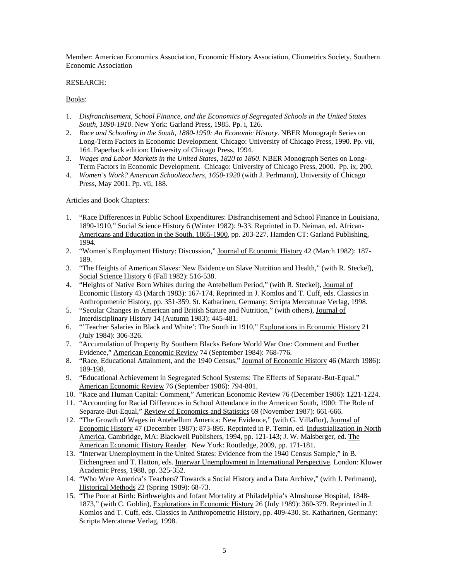Member: American Economics Association, Economic History Association, Cliometrics Society, Southern Economic Association

# RESEARCH:

# Books:

- 1. *Disfranchisement, School Finance, and the Economics of Segregated Schools in the United States South, 1890-1910*. New York: Garland Press, 1985. Pp. i, 126.
- 2. *Race and Schooling in the South, 1880-1950: An Economic History*. NBER Monograph Series on Long-Term Factors in Economic Development. Chicago: University of Chicago Press, 1990. Pp. vii, 164. Paperback edition: University of Chicago Press, 1994.
- 3. *Wages and Labor Markets in the United States, 1820 to 1860*. NBER Monograph Series on Long-Term Factors in Economic Development. Chicago: University of Chicago Press, 2000. Pp. ix, 200.
- 4. *Women's Work? American Schoolteachers, 1650-1920* (with J. Perlmann), University of Chicago Press, May 2001. Pp. vii, 188.

## Articles and Book Chapters:

- 1. "Race Differences in Public School Expenditures: Disfranchisement and School Finance in Louisiana, 1890-1910," Social Science History 6 (Winter 1982): 9-33. Reprinted in D. Neiman, ed. African-Americans and Education in the South, 1865-1900, pp. 203-227. Hamden CT: Garland Publishing, 1994.
- 2. "Women's Employment History: Discussion," Journal of Economic History 42 (March 1982): 187- 189.
- 3. "The Heights of American Slaves: New Evidence on Slave Nutrition and Health," (with R. Steckel), Social Science History 6 (Fall 1982): 516-538.
- 4. "Heights of Native Born Whites during the Antebellum Period," (with R. Steckel), Journal of Economic History 43 (March 1983): 167-174. Reprinted in J. Komlos and T. Cuff, eds. Classics in Anthropometric History, pp. 351-359. St. Katharinen, Germany: Scripta Mercaturae Verlag, 1998.
- 5. "Secular Changes in American and British Stature and Nutrition," (with others), Journal of Interdisciplinary History 14 (Autumn 1983): 445-481.
- 6. "'Teacher Salaries in Black and White': The South in 1910," Explorations in Economic History 21 (July 1984): 306-326.
- 7. "Accumulation of Property By Southern Blacks Before World War One: Comment and Further Evidence," American Economic Review 74 (September 1984): 768-776.
- 8. "Race, Educational Attainment, and the 1940 Census," Journal of Economic History 46 (March 1986): 189-198.
- 9. "Educational Achievement in Segregated School Systems: The Effects of Separate-But-Equal," American Economic Review 76 (September 1986): 794-801.
- 10. "Race and Human Capital: Comment," American Economic Review 76 (December 1986): 1221-1224.
- 11. "Accounting for Racial Differences in School Attendance in the American South, 1900: The Role of Separate-But-Equal," Review of Economics and Statistics 69 (November 1987): 661-666.
- 12. "The Growth of Wages in Antebellum America: New Evidence," (with G. Villaflor), Journal of Economic History 47 (December 1987): 873-895. Reprinted in P. Temin, ed. Industrialization in North America. Cambridge, MA: Blackwell Publishers, 1994, pp. 121-143; J. W. Malsberger, ed. The American Economic History Reader. New York: Routledge, 2009, pp. 171-181.
- 13. "Interwar Unemployment in the United States: Evidence from the 1940 Census Sample," in B. Eichengreen and T. Hatton, eds. Interwar Unemployment in International Perspective. London: Kluwer Academic Press, 1988, pp. 325-352.
- 14. "Who Were America's Teachers? Towards a Social History and a Data Archive," (with J. Perlmann), Historical Methods 22 (Spring 1989): 68-73.
- 15. "The Poor at Birth: Birthweights and Infant Mortality at Philadelphia's Almshouse Hospital, 1848- 1873," (with C. Goldin), Explorations in Economic History 26 (July 1989): 360-379. Reprinted in J. Komlos and T. Cuff, eds. Classics in Anthropometric History, pp. 409-430. St. Katharinen, Germany: Scripta Mercaturae Verlag, 1998.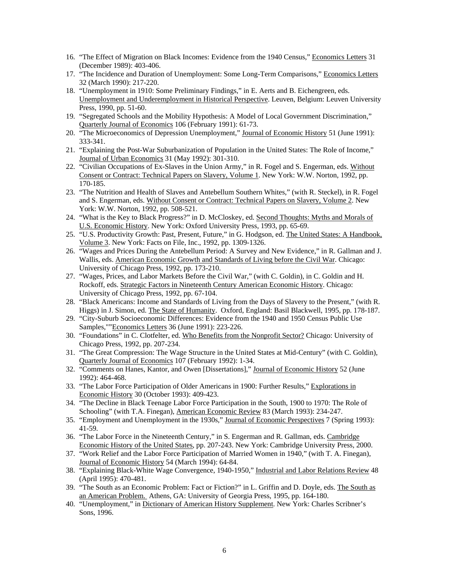- 16. "The Effect of Migration on Black Incomes: Evidence from the 1940 Census," Economics Letters 31 (December 1989): 403-406.
- 17. "The Incidence and Duration of Unemployment: Some Long-Term Comparisons," Economics Letters 32 (March 1990): 217-220.
- 18. "Unemployment in 1910: Some Preliminary Findings," in E. Aerts and B. Eichengreen, eds. Unemployment and Underemployment in Historical Perspective. Leuven, Belgium: Leuven University Press, 1990, pp. 51-60.
- 19. "Segregated Schools and the Mobility Hypothesis: A Model of Local Government Discrimination," Quarterly Journal of Economics 106 (February 1991): 61-73.
- 20. "The Microeconomics of Depression Unemployment," Journal of Economic History 51 (June 1991): 333-341.
- 21. "Explaining the Post-War Suburbanization of Population in the United States: The Role of Income," Journal of Urban Economics 31 (May 1992): 301-310.
- 22. "Civilian Occupations of Ex-Slaves in the Union Army," in R. Fogel and S. Engerman, eds. Without Consent or Contract: Technical Papers on Slavery, Volume 1. New York: W.W. Norton, 1992, pp. 170-185.
- 23. "The Nutrition and Health of Slaves and Antebellum Southern Whites," (with R. Steckel), in R. Fogel and S. Engerman, eds. Without Consent or Contract: Technical Papers on Slavery, Volume 2. New York: W.W. Norton, 1992, pp. 508-521.
- 24. "What is the Key to Black Progress?" in D. McCloskey, ed. Second Thoughts: Myths and Morals of U.S. Economic History. New York: Oxford University Press, 1993, pp. 65-69.
- 25. "U.S. Productivity Growth: Past, Present, Future," in G. Hodgson, ed. The United States: A Handbook, Volume 3. New York: Facts on File, Inc., 1992, pp. 1309-1326.
- 26. "Wages and Prices During the Antebellum Period: A Survey and New Evidence," in R. Gallman and J. Wallis, eds. American Economic Growth and Standards of Living before the Civil War. Chicago: University of Chicago Press, 1992, pp. 173-210.
- 27. "Wages, Prices, and Labor Markets Before the Civil War," (with C. Goldin), in C. Goldin and H. Rockoff, eds. Strategic Factors in Nineteenth Century American Economic History. Chicago: University of Chicago Press, 1992, pp. 67-104.
- 28. "Black Americans: Income and Standards of Living from the Days of Slavery to the Present," (with R. Higgs) in J. Simon, ed. The State of Humanity. Oxford, England: Basil Blackwell, 1995, pp. 178-187.
- 29. "City-Suburb Socioeconomic Differences: Evidence from the 1940 and 1950 Census Public Use Samples,""Economics Letters 36 (June 1991): 223-226.
- 30. "Foundations" in C. Clotfelter, ed. Who Benefits from the Nonprofit Sector? Chicago: University of Chicago Press, 1992, pp. 207-234.
- 31. "The Great Compression: The Wage Structure in the United States at Mid-Century" (with C. Goldin), Quarterly Journal of Economics 107 (February 1992): 1-34.
- 32. "Comments on Hanes, Kantor, and Owen [Dissertations]," Journal of Economic History 52 (June 1992): 464-468.
- 33. "The Labor Force Participation of Older Americans in 1900: Further Results," Explorations in Economic History 30 (October 1993): 409-423.
- 34. "The Decline in Black Teenage Labor Force Participation in the South, 1900 to 1970: The Role of Schooling" (with T.A. Finegan), American Economic Review 83 (March 1993): 234-247.
- 35. "Employment and Unemployment in the 1930s," Journal of Economic Perspectives 7 (Spring 1993): 41-59.
- 36. "The Labor Force in the Nineteenth Century," in S. Engerman and R. Gallman, eds. Cambridge Economic History of the United States, pp. 207-243. New York: Cambridge University Press, 2000.
- 37. "Work Relief and the Labor Force Participation of Married Women in 1940," (with T. A. Finegan), Journal of Economic History 54 (March 1994): 64-84.
- 38. "Explaining Black-White Wage Convergence, 1940-1950," Industrial and Labor Relations Review 48 (April 1995): 470-481.
- 39. "The South as an Economic Problem: Fact or Fiction?" in L. Griffin and D. Doyle, eds. The South as an American Problem. Athens, GA: University of Georgia Press, 1995, pp. 164-180.
- 40. "Unemployment," in Dictionary of American History Supplement. New York: Charles Scribner's Sons, 1996.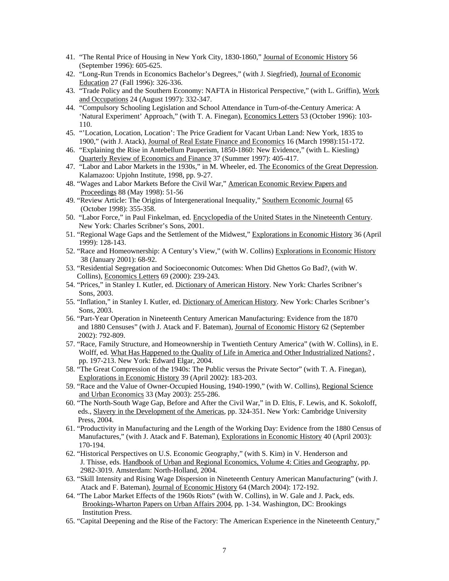- 41. "The Rental Price of Housing in New York City, 1830-1860," Journal of Economic History 56 (September 1996): 605-625.
- 42. "Long-Run Trends in Economics Bachelor's Degrees," (with J. Siegfried), Journal of Economic Education 27 (Fall 1996): 326-336.
- 43. "Trade Policy and the Southern Economy: NAFTA in Historical Perspective," (with L. Griffin), Work and Occupations 24 (August 1997): 332-347.
- 44. "Compulsory Schooling Legislation and School Attendance in Turn-of-the-Century America: A 'Natural Experiment' Approach," (with T. A. Finegan), Economics Letters 53 (October 1996): 103- 110.
- 45. "'Location, Location, Location': The Price Gradient for Vacant Urban Land: New York, 1835 to 1900," (with J. Atack), Journal of Real Estate Finance and Economics 16 (March 1998):151-172.
- 46. "Explaining the Rise in Antebellum Pauperism, 1850-1860: New Evidence," (with L. Kiesling) Quarterly Review of Economics and Finance 37 (Summer 1997): 405-417.
- 47. "Labor and Labor Markets in the 1930s," in M. Wheeler, ed. The Economics of the Great Depression. Kalamazoo: Upjohn Institute, 1998, pp. 9-27.
- 48. "Wages and Labor Markets Before the Civil War," American Economic Review Papers and Proceedings 88 (May 1998): 51-56
- 49. "Review Article: The Origins of Intergenerational Inequality," Southern Economic Journal 65 (October 1998): 355-358.
- 50. "Labor Force," in Paul Finkelman, ed. Encyclopedia of the United States in the Nineteenth Century. New York: Charles Scribner's Sons, 2001.
- 51. "Regional Wage Gaps and the Settlement of the Midwest," Explorations in Economic History 36 (April 1999): 128-143.
- 52. "Race and Homeownership: A Century's View," (with W. Collins) Explorations in Economic History 38 (January 2001): 68-92.
- 53. "Residential Segregation and Socioeconomic Outcomes: When Did Ghettos Go Bad?, (with W. Collins), Economics Letters 69 (2000): 239-243.
- 54. "Prices," in Stanley I. Kutler, ed. Dictionary of American History. New York: Charles Scribner's Sons, 2003.
- 55. "Inflation," in Stanley I. Kutler, ed. Dictionary of American History. New York: Charles Scribner's Sons, 2003.
- 56. "Part-Year Operation in Nineteenth Century American Manufacturing: Evidence from the 1870 and 1880 Censuses" (with J. Atack and F. Bateman), Journal of Economic History 62 (September 2002): 792-809.
- 57. "Race, Family Structure, and Homeownership in Twentieth Century America" (with W. Collins), in E. Wolff, ed. What Has Happened to the Quality of Life in America and Other Industrialized Nations? , pp. 197-213. New York: Edward Elgar, 2004.
- 58. "The Great Compression of the 1940s: The Public versus the Private Sector" (with T. A. Finegan), Explorations in Economic History 39 (April 2002): 183-203.
- 59. "Race and the Value of Owner-Occupied Housing, 1940-1990," (with W. Collins), Regional Science and Urban Economics 33 (May 2003): 255-286.
- 60. "The North-South Wage Gap, Before and After the Civil War," in D. Eltis, F. Lewis, and K. Sokoloff, eds., Slavery in the Development of the Americas, pp. 324-351. New York: Cambridge University Press, 2004.
- 61. "Productivity in Manufacturing and the Length of the Working Day: Evidence from the 1880 Census of Manufactures," (with J. Atack and F. Bateman), Explorations in Economic History 40 (April 2003): 170-194.
- 62. "Historical Perspectives on U.S. Economic Geography," (with S. Kim) in V. Henderson and J. Thisse, eds. Handbook of Urban and Regional Economics, Volume 4: Cities and Geography, pp. 2982-3019. Amsterdam: North-Holland, 2004.
- 63. "Skill Intensity and Rising Wage Dispersion in Nineteenth Century American Manufacturing" (with J. Atack and F. Bateman), Journal of Economic History 64 (March 2004): 172-192.
- 64. "The Labor Market Effects of the 1960s Riots" (with W. Collins), in W. Gale and J. Pack, eds. Brookings-Wharton Papers on Urban Affairs 2004, pp. 1-34. Washington, DC: Brookings Institution Press.
- 65. "Capital Deepening and the Rise of the Factory: The American Experience in the Nineteenth Century,"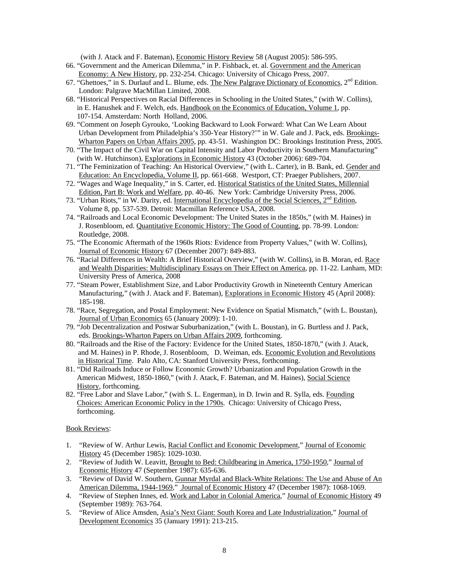(with J. Atack and F. Bateman), Economic History Review 58 (August 2005): 586-595.

- 66. "Government and the American Dilemma," in P. Fishback, et. al. Government and the American Economy: A New History, pp. 232-254. Chicago: University of Chicago Press, 2007.
- 67. "Ghettoes," in S. Durlauf and L. Blume, eds. The New Palgrave Dictionary of Economics, 2<sup>nd</sup> Edition. London: Palgrave MacMillan Limited, 2008.
- 68. "Historical Perspectives on Racial Differences in Schooling in the United States," (with W. Collins), in E. Hanushek and F. Welch, eds. Handbook on the Economics of Education, Volume 1, pp. 107-154. Amsterdam: North Holland, 2006.
- 69. "Comment on Joseph Gyrouko, 'Looking Backward to Look Forward: What Can We Learn About Urban Development from Philadelphia's 350-Year History?'" in W. Gale and J. Pack, eds. Brookings-Wharton Papers on Urban Affairs 2005, pp. 43-51. Washington DC: Brookings Institution Press, 2005.
- 70. "The Impact of the Civil War on Capital Intensity and Labor Productivity in Southern Manufacturing" (with W. Hutchinson), Explorations in Economic History 43 (October 2006): 689-704.
- 71. "The Feminization of Teaching: An Historical Overview," (with L. Carter), in B. Bank, ed. Gender and Education: An Encyclopedia, Volume II, pp. 661-668. Westport, CT: Praeger Publishers, 2007.
- 72. "Wages and Wage Inequality," in S. Carter, ed. Historical Statistics of the United States, Millennial Edition, Part B: Work and Welfare, pp. 40-46. New York: Cambridge University Press, 2006.
- 73. "Urban Riots," in W. Darity, ed. International Encyclopedia of the Social Sciences,  $2<sup>nd</sup>$  Edition, Volume 8, pp. 537-539. Detroit: Macmillan Reference USA, 2008.
- 74. "Railroads and Local Economic Development: The United States in the 1850s," (with M. Haines) in J. Rosenbloom, ed. Quantitative Economic History: The Good of Counting, pp. 78-99. London: Routledge, 2008.
- 75. "The Economic Aftermath of the 1960s Riots: Evidence from Property Values," (with W. Collins), Journal of Economic History 67 (December 2007): 849-883.
- 76. "Racial Differences in Wealth: A Brief Historical Overview," (with W. Collins), in B. Moran, ed. Race and Wealth Disparities: Multidisciplinary Essays on Their Effect on America, pp. 11-22. Lanham, MD: University Press of America, 2008
- 77. "Steam Power, Establishment Size, and Labor Productivity Growth in Nineteenth Century American Manufacturing," (with J. Atack and F. Bateman), Explorations in Economic History 45 (April 2008): 185-198.
- 78. "Race, Segregation, and Postal Employment: New Evidence on Spatial Mismatch," (with L. Boustan), Journal of Urban Economics 65 (January 2009): 1-10.
- 79. "Job Decentralization and Postwar Suburbanization," (with L. Boustan), in G. Burtless and J. Pack, eds. Brookings-Wharton Papers on Urban Affairs 2009, forthcoming.
- 80. "Railroads and the Rise of the Factory: Evidence for the United States, 1850-1870," (with J. Atack, and M. Haines) in P. Rhode, J. Rosenbloom, D. Weiman, eds. Economic Evolution and Revolutions in Historical Time. Palo Alto, CA: Stanford University Press, forthcoming.
- 81. "Did Railroads Induce or Follow Economic Growth? Urbanization and Population Growth in the American Midwest, 1850-1860," (with J. Atack, F. Bateman, and M. Haines), Social Science History, forthcoming.
- 82. "Free Labor and Slave Labor," (with S. L. Engerman), in D. Irwin and R. Sylla, eds. Founding Choices: American Economic Policy in the 1790s. Chicago: University of Chicago Press, forthcoming.

# Book Reviews:

- 1. "Review of W. Arthur Lewis, Racial Conflict and Economic Development," Journal of Economic History 45 (December 1985): 1029-1030.
- 2. "Review of Judith W. Leavitt, Brought to Bed: Childbearing in America, 1750-1950," Journal of Economic History 47 (September 1987): 635-636.
- 3. "Review of David W. Southern, Gunnar Myrdal and Black-White Relations: The Use and Abuse of An American Dilemma, 1944-1969," Journal of Economic History 47 (December 1987): 1068-1069.
- 4. "Review of Stephen Innes, ed. Work and Labor in Colonial America," Journal of Economic History 49 (September 1989): 763-764.
- 5. "Review of Alice Amsden, Asia's Next Giant: South Korea and Late Industrialization," Journal of Development Economics 35 (January 1991): 213-215.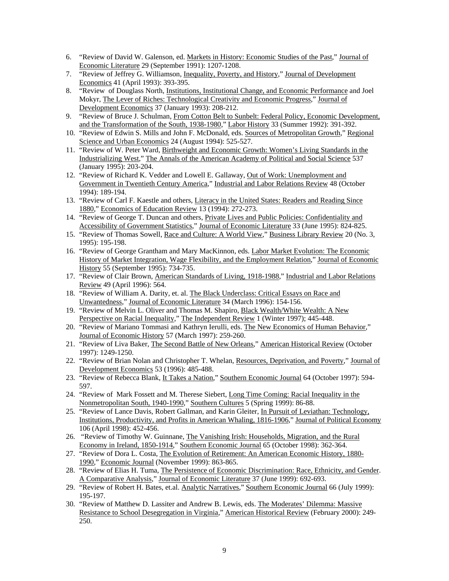- 6. "Review of David W. Galenson, ed. Markets in History: Economic Studies of the Past," Journal of Economic Literature 29 (September 1991): 1207-1208.
- 7. "Review of Jeffrey G. Williamson, Inequality, Poverty, and History," Journal of Development Economics 41 (April 1993): 393-395.
- 8. "Review of Douglass North, Institutions, Institutional Change, and Economic Performance and Joel Mokyr, The Lever of Riches: Technological Creativity and Economic Progress," Journal of Development Economics 37 (January 1993): 208-212.
- 9. "Review of Bruce J. Schulman, From Cotton Belt to Sunbelt: Federal Policy, Economic Development, and the Transformation of the South, 1938-1980," Labor History 33 (Summer 1992): 391-392.
- 10. "Review of Edwin S. Mills and John F. McDonald, eds. Sources of Metropolitan Growth," Regional Science and Urban Economics 24 (August 1994): 525-527.
- 11. "Review of W. Peter Ward, Birthweight and Economic Growth: Women's Living Standards in the Industrializing West," The Annals of the American Academy of Political and Social Science 537 (January 1995): 203-204.
- 12. "Review of Richard K. Vedder and Lowell E. Gallaway, Out of Work: Unemployment and Government in Twentieth Century America," Industrial and Labor Relations Review 48 (October 1994): 189-194.
- 13. "Review of Carl F. Kaestle and others, Literacy in the United States: Readers and Reading Since 1880," Economics of Education Review 13 (1994): 272-273.
- 14. "Review of George T. Duncan and others, Private Lives and Public Policies: Confidentiality and Accessibility of Government Statistics," Journal of Economic Literature 33 (June 1995): 824-825.
- 15. "Review of Thomas Sowell, Race and Culture: A World View," Business Library Review 20 (No. 3, 1995): 195-198.
- 16. "Review of George Grantham and Mary MacKinnon, eds. Labor Market Evolution: The Economic History of Market Integration, Wage Flexibility, and the Employment Relation," Journal of Economic History 55 (September 1995): 734-735.
- 17. "Review of Clair Brown, American Standards of Living, 1918-1988," Industrial and Labor Relations Review 49 (April 1996): 564.
- 18. "Review of William A. Darity, et. al. The Black Underclass: Critical Essays on Race and Unwantedness," Journal of Economic Literature 34 (March 1996): 154-156.
- 19. "Review of Melvin L. Oliver and Thomas M. Shapiro, Black Wealth/White Wealth: A New Perspective on Racial Inequality," The Independent Review 1 (Winter 1997); 445-448.
- 20. "Review of Mariano Tommasi and Kathryn Ierulli, eds. The New Economics of Human Behavior," Journal of Economic History 57 (March 1997): 259-260.
- 21. "Review of Liva Baker, The Second Battle of New Orleans," American Historical Review (October 1997): 1249-1250.
- 22. "Review of Brian Nolan and Christopher T. Whelan, Resources, Deprivation, and Poverty," Journal of Development Economics 53 (1996): 485-488.
- 23. "Review of Rebecca Blank, It Takes a Nation," Southern Economic Journal 64 (October 1997): 594- 597.
- 24. "Review of Mark Fossett and M. Therese Siebert, Long Time Coming: Racial Inequality in the Nonmetropolitan South, 1940-1990," Southern Cultures 5 (Spring 1999): 86-88.
- 25. "Review of Lance Davis, Robert Gallman, and Karin Gleiter, In Pursuit of Leviathan: Technology, Institutions, Productivity, and Profits in American Whaling, 1816-1906," Journal of Political Economy 106 (April 1998): 452-456.
- 26. "Review of Timothy W. Guinnane, The Vanishing Irish: Households, Migration, and the Rural Economy in Ireland, 1850-1914," Southern Economic Journal 65 (October 1998): 362-364.
- 27. "Review of Dora L. Costa, The Evolution of Retirement: An American Economic History, 1880- 1990," Economic Journal (November 1999): 863-865.
- 28. "Review of Elias H. Tuma, The Persistence of Economic Discrimination: Race, Ethnicity, and Gender. A Comparative Analysis," Journal of Economic Literature 37 (June 1999): 692-693.
- 29. "Review of Robert H. Bates, et.al. Analytic Narratives," Southern Economic Journal 66 (July 1999): 195-197.
- 30. "Review of Matthew D. Lassiter and Andrew B. Lewis, eds. The Moderates' Dilemma: Massive Resistance to School Desegregation in Virginia," American Historical Review (February 2000): 249- 250.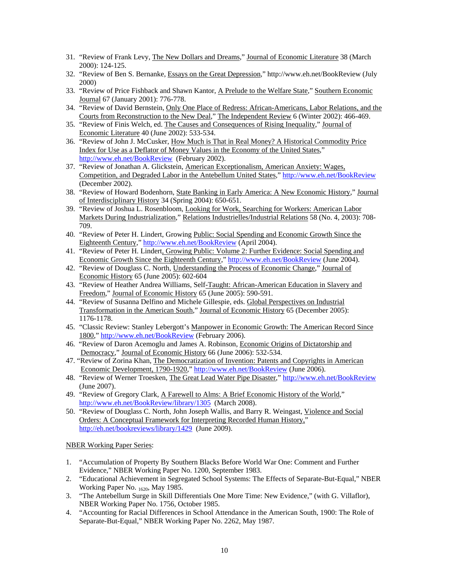- 31. "Review of Frank Levy, The New Dollars and Dreams," Journal of Economic Literature 38 (March 2000): 124-125.
- 32. "Review of Ben S. Bernanke, Essays on the Great Depression," http://www.eh.net/BookReview (July 2000)
- 33. "Review of Price Fishback and Shawn Kantor, A Prelude to the Welfare State," Southern Economic Journal 67 (January 2001): 776-778.
- 34. "Review of David Bernstein, Only One Place of Redress: African-Americans, Labor Relations, and the Courts from Reconstruction to the New Deal," The Independent Review 6 (Winter 2002): 466-469.
- 35. "Review of Finis Welch, ed. The Causes and Consequences of Rising Inequality," Journal of Economic Literature 40 (June 2002): 533-534.
- 36. "Review of John J. McCusker, How Much is That in Real Money? A Historical Commodity Price Index for Use as a Deflator of Money Values in the Economy of the United States," http://www.eh.net/BookReview (February 2002).
- 37. "Review of Jonathan A. Glickstein, American Exceptionalism, American Anxiety: Wages, Competition, and Degraded Labor in the Antebellum United States," http://www.eh.net/BookReview (December 2002).
- 38. "Review of Howard Bodenhorn, State Banking in Early America: A New Economic History," Journal of Interdisciplinary History 34 (Spring 2004): 650-651.
- 39. "Review of Joshua L. Rosenbloom, Looking for Work, Searching for Workers: American Labor Markets During Industrialization," Relations Industrielles/Industrial Relations 58 (No. 4, 2003): 708- 709.
- 40. "Review of Peter H. Lindert, Growing Public: Social Spending and Economic Growth Since the Eighteenth Century," http://www.eh.net/BookReview (April 2004).
- 41. "Review of Peter H. Lindert, Growing Public: Volume 2: Further Evidence: Social Spending and Economic Growth Since the Eighteenth Century," http://www.eh.net/BookReview (June 2004).
- 42. "Review of Douglass C. North, Understanding the Process of Economic Change," Journal of Economic History 65 (June 2005): 602-604
- 43. "Review of Heather Andrea Williams, Self-Taught: African-American Education in Slavery and Freedom," Journal of Economic History 65 (June 2005): 590-591.
- 44. "Review of Susanna Delfino and Michele Gillespie, eds. Global Perspectives on Industrial Transformation in the American South," Journal of Economic History 65 (December 2005): 1176-1178.
- 45. "Classic Review: Stanley Lebergott's Manpower in Economic Growth: The American Record Since 1800," http://www.eh.net/BookReview (February 2006).
- 46. "Review of Daron Acemoglu and James A. Robinson, Economic Origins of Dictatorship and Democracy," Journal of Economic History 66 (June 2006): 532-534.
- 47. "Review of Zorina Khan, The Democratization of Invention: Patents and Copyrights in American Economic Development, 1790-1920," http://www.eh.net/BookReview (June 2006).
- 48. "Review of Werner Troesken, The Great Lead Water Pipe Disaster," http://www.eh.net/BookReview (June 2007).
- 49. "Review of Gregory Clark, A Farewell to Alms: A Brief Economic History of the World," http://www.eh.net/BookReview/library/1305 (March 2008).
- 50. "Review of Douglass C. North, John Joseph Wallis, and Barry R. Weingast, Violence and Social Orders: A Conceptual Framework for Interpreting Recorded Human History," http://eh.net/bookreviews/library/1429 (June 2009).

NBER Working Paper Series:

- 1. "Accumulation of Property By Southern Blacks Before World War One: Comment and Further Evidence," NBER Working Paper No. 1200, September 1983.
- 2. "Educational Achievement in Segregated School Systems: The Effects of Separate-But-Equal," NBER Working Paper No. 1620, May 1985.
- 3. "The Antebellum Surge in Skill Differentials One More Time: New Evidence," (with G. Villaflor), NBER Working Paper No. 1756, October 1985.
- 4. "Accounting for Racial Differences in School Attendance in the American South, 1900: The Role of Separate-But-Equal," NBER Working Paper No. 2262, May 1987.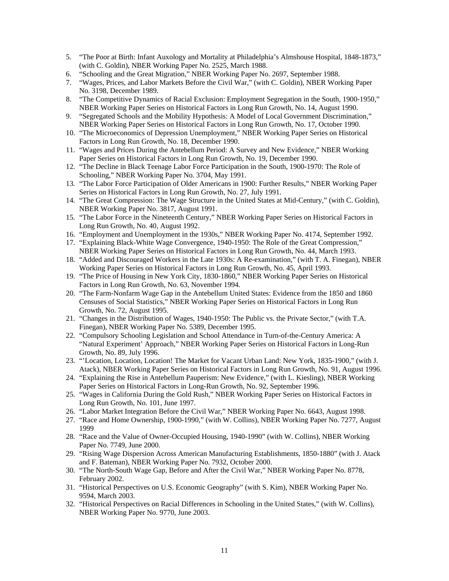- 5. "The Poor at Birth: Infant Auxology and Mortality at Philadelphia's Almshouse Hospital, 1848-1873," (with C. Goldin), NBER Working Paper No. 2525, March 1988.
- 6. "Schooling and the Great Migration," NBER Working Paper No. 2697, September 1988.
- 7. "Wages, Prices, and Labor Markets Before the Civil War," (with C. Goldin), NBER Working Paper No. 3198, December 1989.
- 8. "The Competitive Dynamics of Racial Exclusion: Employment Segregation in the South, 1900-1950," NBER Working Paper Series on Historical Factors in Long Run Growth, No. 14, August 1990.
- 9. "Segregated Schools and the Mobility Hypothesis: A Model of Local Government Discrimination," NBER Working Paper Series on Historical Factors in Long Run Growth, No. 17, October 1990.
- 10. "The Microeconomics of Depression Unemployment," NBER Working Paper Series on Historical Factors in Long Run Growth, No. 18, December 1990.
- 11. "Wages and Prices During the Antebellum Period: A Survey and New Evidence," NBER Working Paper Series on Historical Factors in Long Run Growth, No. 19, December 1990.
- 12. "The Decline in Black Teenage Labor Force Participation in the South, 1900-1970: The Role of Schooling," NBER Working Paper No. 3704, May 1991.
- 13. "The Labor Force Participation of Older Americans in 1900: Further Results," NBER Working Paper Series on Historical Factors in Long Run Growth, No. 27, July 1991.
- 14. "The Great Compression: The Wage Structure in the United States at Mid-Century," (with C. Goldin), NBER Working Paper No. 3817, August 1991.
- 15. "The Labor Force in the Nineteenth Century," NBER Working Paper Series on Historical Factors in Long Run Growth, No. 40, August 1992.
- 16. "Employment and Unemployment in the 1930s," NBER Working Paper No. 4174, September 1992.
- 17. "Explaining Black-White Wage Convergence, 1940-1950: The Role of the Great Compression," NBER Working Paper Series on Historical Factors in Long Run Growth, No. 44, March 1993.
- 18. "Added and Discouraged Workers in the Late 1930s: A Re-examination," (with T. A. Finegan), NBER Working Paper Series on Historical Factors in Long Run Growth, No. 45, April 1993.
- 19. "The Price of Housing in New York City, 1830-1860," NBER Working Paper Series on Historical Factors in Long Run Growth, No. 63, November 1994.
- 20. "The Farm-Nonfarm Wage Gap in the Antebellum United States: Evidence from the 1850 and 1860 Censuses of Social Statistics," NBER Working Paper Series on Historical Factors in Long Run Growth, No. 72, August 1995.
- 21. "Changes in the Distribution of Wages, 1940-1950: The Public vs. the Private Sector," (with T.A. Finegan), NBER Working Paper No. 5389, December 1995.
- 22. "Compulsory Schooling Legislation and School Attendance in Turn-of-the-Century America: A "Natural Experiment' Approach," NBER Working Paper Series on Historical Factors in Long-Run Growth, No. 89, July 1996.
- 23. "'Location, Location, Location! The Market for Vacant Urban Land: New York, 1835-1900," (with J. Atack), NBER Working Paper Series on Historical Factors in Long Run Growth, No. 91, August 1996.
- 24. "Explaining the Rise in Antebellum Pauperism: New Evidence," (with L. Kiesling), NBER Working Paper Series on Historical Factors in Long-Run Growth, No. 92, September 1996.
- 25. "Wages in California During the Gold Rush," NBER Working Paper Series on Historical Factors in Long Run Growth, No. 101, June 1997.
- 26. "Labor Market Integration Before the Civil War," NBER Working Paper No. 6643, August 1998.
- 27. "Race and Home Ownership, 1900-1990," (with W. Collins), NBER Working Paper No. 7277, August 1999
- 28. "Race and the Value of Owner-Occupied Housing, 1940-1990" (with W. Collins), NBER Working Paper No. 7749, June 2000.
- 29. "Rising Wage Dispersion Across American Manufacturing Establishments, 1850-1880" (with J. Atack and F. Bateman), NBER Working Paper No. 7932, October 2000.
- 30. "The North-South Wage Gap, Before and After the Civil War," NBER Working Paper No. 8778, February 2002.
- 31. "Historical Perspectives on U.S. Economic Geography" (with S. Kim), NBER Working Paper No. 9594, March 2003.
- 32. "Historical Perspectives on Racial Differences in Schooling in the United States," (with W. Collins), NBER Working Paper No. 9770, June 2003.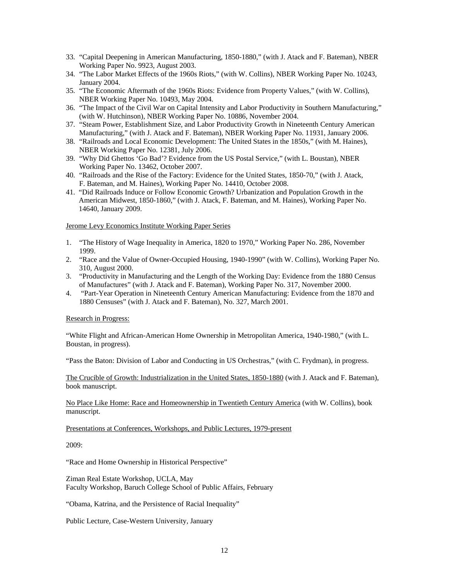- 33. "Capital Deepening in American Manufacturing, 1850-1880," (with J. Atack and F. Bateman), NBER Working Paper No. 9923, August 2003.
- 34. "The Labor Market Effects of the 1960s Riots," (with W. Collins), NBER Working Paper No. 10243, January 2004.
- 35. "The Economic Aftermath of the 1960s Riots: Evidence from Property Values," (with W. Collins), NBER Working Paper No. 10493, May 2004.
- 36. "The Impact of the Civil War on Capital Intensity and Labor Productivity in Southern Manufacturing," (with W. Hutchinson), NBER Working Paper No. 10886, November 2004.
- 37. "Steam Power, Establishment Size, and Labor Productivity Growth in Nineteenth Century American Manufacturing," (with J. Atack and F. Bateman), NBER Working Paper No. 11931, January 2006.
- 38. "Railroads and Local Economic Development: The United States in the 1850s," (with M. Haines), NBER Working Paper No. 12381, July 2006.
- 39. "Why Did Ghettos 'Go Bad'? Evidence from the US Postal Service," (with L. Boustan), NBER Working Paper No. 13462, October 2007.
- 40. "Railroads and the Rise of the Factory: Evidence for the United States, 1850-70," (with J. Atack, F. Bateman, and M. Haines), Working Paper No. 14410, October 2008.
- 41. "Did Railroads Induce or Follow Economic Growth? Urbanization and Population Growth in the American Midwest, 1850-1860," (with J. Atack, F. Bateman, and M. Haines), Working Paper No. 14640, January 2009.

## Jerome Levy Economics Institute Working Paper Series

- 1. "The History of Wage Inequality in America, 1820 to 1970," Working Paper No. 286, November 1999.
- 2. "Race and the Value of Owner-Occupied Housing, 1940-1990" (with W. Collins), Working Paper No. 310, August 2000.
- 3. "Productivity in Manufacturing and the Length of the Working Day: Evidence from the 1880 Census of Manufactures" (with J. Atack and F. Bateman), Working Paper No. 317, November 2000.
- 4. "Part-Year Operation in Nineteenth Century American Manufacturing: Evidence from the 1870 and 1880 Censuses" (with J. Atack and F. Bateman), No. 327, March 2001.

## Research in Progress:

"White Flight and African-American Home Ownership in Metropolitan America, 1940-1980," (with L. Boustan, in progress).

"Pass the Baton: Division of Labor and Conducting in US Orchestras," (with C. Frydman), in progress.

The Crucible of Growth: Industrialization in the United States, 1850-1880 (with J. Atack and F. Bateman), book manuscript.

No Place Like Home: Race and Homeownership in Twentieth Century America (with W. Collins), book manuscript.

## Presentations at Conferences, Workshops, and Public Lectures, 1979-present

2009:

"Race and Home Ownership in Historical Perspective"

Ziman Real Estate Workshop, UCLA, May Faculty Workshop, Baruch College School of Public Affairs, February

"Obama, Katrina, and the Persistence of Racial Inequality"

Public Lecture, Case-Western University, January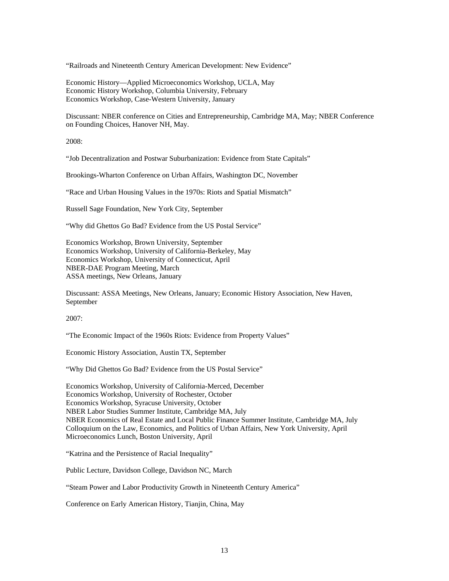"Railroads and Nineteenth Century American Development: New Evidence"

Economic History—Applied Microeconomics Workshop, UCLA, May Economic History Workshop, Columbia University, February Economics Workshop, Case-Western University, January

Discussant: NBER conference on Cities and Entrepreneurship, Cambridge MA, May; NBER Conference on Founding Choices, Hanover NH, May.

2008:

"Job Decentralization and Postwar Suburbanization: Evidence from State Capitals"

Brookings-Wharton Conference on Urban Affairs, Washington DC, November

"Race and Urban Housing Values in the 1970s: Riots and Spatial Mismatch"

Russell Sage Foundation, New York City, September

"Why did Ghettos Go Bad? Evidence from the US Postal Service"

Economics Workshop, Brown University, September Economics Workshop, University of California-Berkeley, May Economics Workshop, University of Connecticut, April NBER-DAE Program Meeting, March ASSA meetings, New Orleans, January

Discussant: ASSA Meetings, New Orleans, January; Economic History Association, New Haven, September

2007:

"The Economic Impact of the 1960s Riots: Evidence from Property Values"

Economic History Association, Austin TX, September

"Why Did Ghettos Go Bad? Evidence from the US Postal Service"

Economics Workshop, University of California-Merced, December Economics Workshop, University of Rochester, October Economics Workshop, Syracuse University, October NBER Labor Studies Summer Institute, Cambridge MA, July NBER Economics of Real Estate and Local Public Finance Summer Institute, Cambridge MA, July Colloquium on the Law, Economics, and Politics of Urban Affairs, New York University, April Microeconomics Lunch, Boston University, April

"Katrina and the Persistence of Racial Inequality"

Public Lecture, Davidson College, Davidson NC, March

"Steam Power and Labor Productivity Growth in Nineteenth Century America"

Conference on Early American History, Tianjin, China, May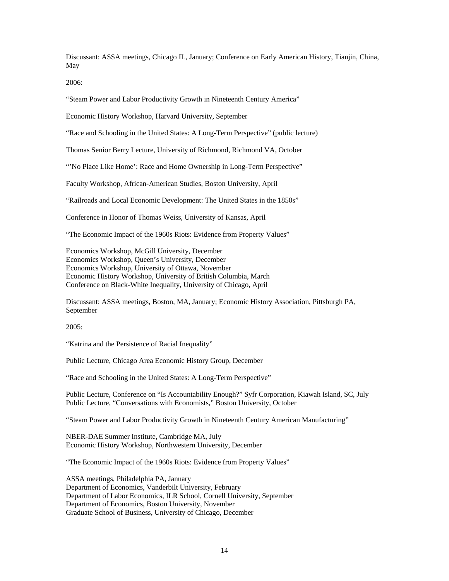Discussant: ASSA meetings, Chicago IL, January; Conference on Early American History, Tianjin, China, May

2006:

"Steam Power and Labor Productivity Growth in Nineteenth Century America"

Economic History Workshop, Harvard University, September

"Race and Schooling in the United States: A Long-Term Perspective" (public lecture)

Thomas Senior Berry Lecture, University of Richmond, Richmond VA, October

"No Place Like Home': Race and Home Ownership in Long-Term Perspective"

Faculty Workshop, African-American Studies, Boston University, April

"Railroads and Local Economic Development: The United States in the 1850s"

Conference in Honor of Thomas Weiss, University of Kansas, April

"The Economic Impact of the 1960s Riots: Evidence from Property Values"

Economics Workshop, McGill University, December Economics Workshop, Queen's University, December Economics Workshop, University of Ottawa, November Economic History Workshop, University of British Columbia, March Conference on Black-White Inequality, University of Chicago, April

Discussant: ASSA meetings, Boston, MA, January; Economic History Association, Pittsburgh PA, September

2005:

"Katrina and the Persistence of Racial Inequality"

Public Lecture, Chicago Area Economic History Group, December

"Race and Schooling in the United States: A Long-Term Perspective"

Public Lecture, Conference on "Is Accountability Enough?" Syfr Corporation, Kiawah Island, SC, July Public Lecture, "Conversations with Economists," Boston University, October

"Steam Power and Labor Productivity Growth in Nineteenth Century American Manufacturing"

NBER-DAE Summer Institute, Cambridge MA, July Economic History Workshop, Northwestern University, December

"The Economic Impact of the 1960s Riots: Evidence from Property Values"

ASSA meetings, Philadelphia PA, January Department of Economics, Vanderbilt University, February Department of Labor Economics, ILR School, Cornell University, September Department of Economics, Boston University, November Graduate School of Business, University of Chicago, December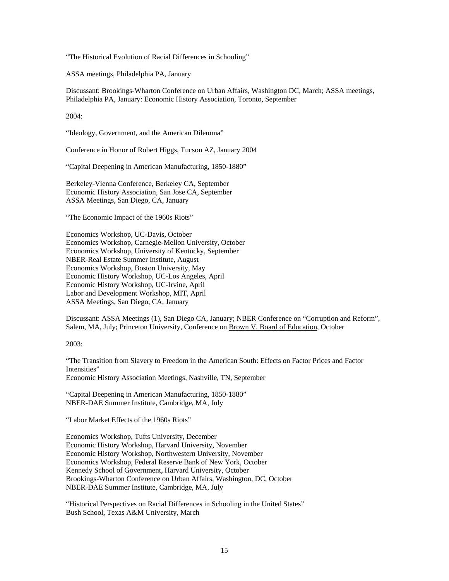"The Historical Evolution of Racial Differences in Schooling"

ASSA meetings, Philadelphia PA, January

Discussant: Brookings-Wharton Conference on Urban Affairs, Washington DC, March; ASSA meetings, Philadelphia PA, January: Economic History Association, Toronto, September

2004:

"Ideology, Government, and the American Dilemma"

Conference in Honor of Robert Higgs, Tucson AZ, January 2004

"Capital Deepening in American Manufacturing, 1850-1880"

Berkeley-Vienna Conference, Berkeley CA, September Economic History Association, San Jose CA, September ASSA Meetings, San Diego, CA, January

"The Economic Impact of the 1960s Riots"

Economics Workshop, UC-Davis, October Economics Workshop, Carnegie-Mellon University, October Economics Workshop, University of Kentucky, September NBER-Real Estate Summer Institute, August Economics Workshop, Boston University, May Economic History Workshop, UC-Los Angeles, April Economic History Workshop, UC-Irvine, April Labor and Development Workshop, MIT, April ASSA Meetings, San Diego, CA, January

Discussant: ASSA Meetings (1), San Diego CA, January; NBER Conference on "Corruption and Reform", Salem, MA, July; Princeton University, Conference on Brown V. Board of Education, October

2003:

"The Transition from Slavery to Freedom in the American South: Effects on Factor Prices and Factor Intensities" Economic History Association Meetings, Nashville, TN, September

"Capital Deepening in American Manufacturing, 1850-1880" NBER-DAE Summer Institute, Cambridge, MA, July

"Labor Market Effects of the 1960s Riots"

Economics Workshop, Tufts University, December Economic History Workshop, Harvard University, November Economic History Workshop, Northwestern University, November Economics Workshop, Federal Reserve Bank of New York, October Kennedy School of Government, Harvard University, October Brookings-Wharton Conference on Urban Affairs, Washington, DC, October NBER-DAE Summer Institute, Cambridge, MA, July

"Historical Perspectives on Racial Differences in Schooling in the United States" Bush School, Texas A&M University, March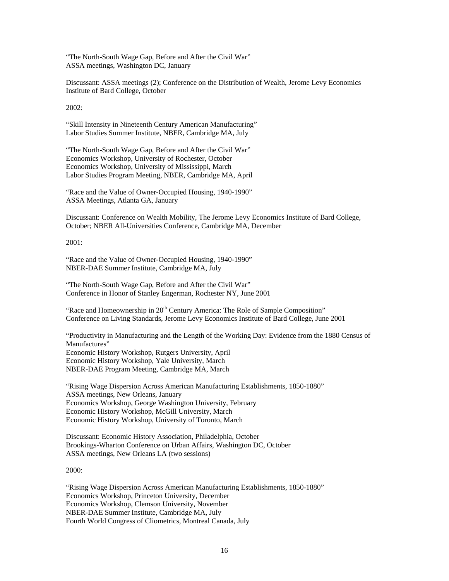"The North-South Wage Gap, Before and After the Civil War" ASSA meetings, Washington DC, January

Discussant: ASSA meetings (2); Conference on the Distribution of Wealth, Jerome Levy Economics Institute of Bard College, October

2002:

"Skill Intensity in Nineteenth Century American Manufacturing" Labor Studies Summer Institute, NBER, Cambridge MA, July

"The North-South Wage Gap, Before and After the Civil War" Economics Workshop, University of Rochester, October Economics Workshop, University of Mississippi, March Labor Studies Program Meeting, NBER, Cambridge MA, April

"Race and the Value of Owner-Occupied Housing, 1940-1990" ASSA Meetings, Atlanta GA, January

Discussant: Conference on Wealth Mobility, The Jerome Levy Economics Institute of Bard College, October; NBER All-Universities Conference, Cambridge MA, December

2001:

"Race and the Value of Owner-Occupied Housing, 1940-1990" NBER-DAE Summer Institute, Cambridge MA, July

"The North-South Wage Gap, Before and After the Civil War" Conference in Honor of Stanley Engerman, Rochester NY, June 2001

"Race and Homeownership in  $20<sup>th</sup>$  Century America: The Role of Sample Composition" Conference on Living Standards, Jerome Levy Economics Institute of Bard College, June 2001

"Productivity in Manufacturing and the Length of the Working Day: Evidence from the 1880 Census of Manufactures" Economic History Workshop, Rutgers University, April Economic History Workshop, Yale University, March NBER-DAE Program Meeting, Cambridge MA, March

"Rising Wage Dispersion Across American Manufacturing Establishments, 1850-1880" ASSA meetings, New Orleans, January Economics Workshop, George Washington University, February Economic History Workshop, McGill University, March Economic History Workshop, University of Toronto, March

Discussant: Economic History Association, Philadelphia, October Brookings-Wharton Conference on Urban Affairs, Washington DC, October ASSA meetings, New Orleans LA (two sessions)

2000:

"Rising Wage Dispersion Across American Manufacturing Establishments, 1850-1880" Economics Workshop, Princeton University, December Economics Workshop, Clemson University, November NBER-DAE Summer Institute, Cambridge MA, July Fourth World Congress of Cliometrics, Montreal Canada, July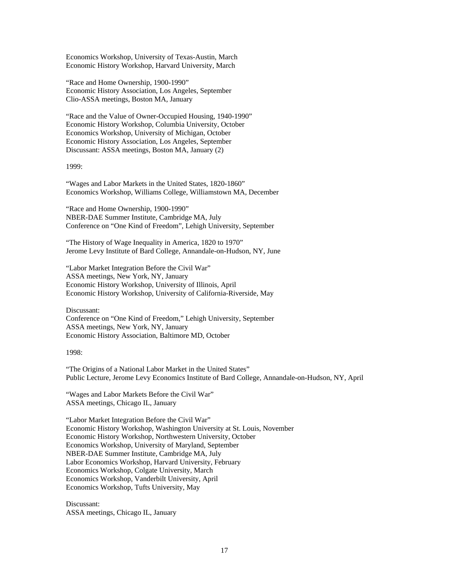Economics Workshop, University of Texas-Austin, March Economic History Workshop, Harvard University, March

"Race and Home Ownership, 1900-1990" Economic History Association, Los Angeles, September Clio-ASSA meetings, Boston MA, January

"Race and the Value of Owner-Occupied Housing, 1940-1990" Economic History Workshop, Columbia University, October Economics Workshop, University of Michigan, October Economic History Association, Los Angeles, September Discussant: ASSA meetings, Boston MA, January (2)

1999:

"Wages and Labor Markets in the United States, 1820-1860" Economics Workshop, Williams College, Williamstown MA, December

"Race and Home Ownership, 1900-1990" NBER-DAE Summer Institute, Cambridge MA, July Conference on "One Kind of Freedom", Lehigh University, September

"The History of Wage Inequality in America, 1820 to 1970" Jerome Levy Institute of Bard College, Annandale-on-Hudson, NY, June

"Labor Market Integration Before the Civil War" ASSA meetings, New York, NY, January Economic History Workshop, University of Illinois, April Economic History Workshop, University of California-Riverside, May

Discussant: Conference on "One Kind of Freedom," Lehigh University, September ASSA meetings, New York, NY, January Economic History Association, Baltimore MD, October

1998:

"The Origins of a National Labor Market in the United States" Public Lecture, Jerome Levy Economics Institute of Bard College, Annandale-on-Hudson, NY, April

"Wages and Labor Markets Before the Civil War" ASSA meetings, Chicago IL, January

"Labor Market Integration Before the Civil War" Economic History Workshop, Washington University at St. Louis, November Economic History Workshop, Northwestern University, October Economics Workshop, University of Maryland, September NBER-DAE Summer Institute, Cambridge MA, July Labor Economics Workshop, Harvard University, February Economics Workshop, Colgate University, March Economics Workshop, Vanderbilt University, April Economics Workshop, Tufts University, May

Discussant: ASSA meetings, Chicago IL, January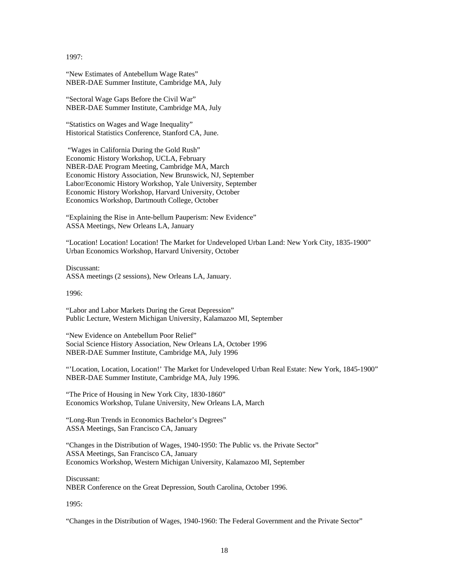1997:

"New Estimates of Antebellum Wage Rates" NBER-DAE Summer Institute, Cambridge MA, July

"Sectoral Wage Gaps Before the Civil War" NBER-DAE Summer Institute, Cambridge MA, July

"Statistics on Wages and Wage Inequality" Historical Statistics Conference, Stanford CA, June.

 "Wages in California During the Gold Rush" Economic History Workshop, UCLA, February NBER-DAE Program Meeting, Cambridge MA, March Economic History Association, New Brunswick, NJ, September Labor/Economic History Workshop, Yale University, September Economic History Workshop, Harvard University, October Economics Workshop, Dartmouth College, October

"Explaining the Rise in Ante-bellum Pauperism: New Evidence" ASSA Meetings, New Orleans LA, January

"Location! Location! Location! The Market for Undeveloped Urban Land: New York City, 1835-1900" Urban Economics Workshop, Harvard University, October

Discussant: ASSA meetings (2 sessions), New Orleans LA, January.

1996:

"Labor and Labor Markets During the Great Depression" Public Lecture, Western Michigan University, Kalamazoo MI, September

"New Evidence on Antebellum Poor Relief" Social Science History Association, New Orleans LA, October 1996 NBER-DAE Summer Institute, Cambridge MA, July 1996

"'Location, Location, Location!' The Market for Undeveloped Urban Real Estate: New York, 1845-1900" NBER-DAE Summer Institute, Cambridge MA, July 1996.

"The Price of Housing in New York City, 1830-1860" Economics Workshop, Tulane University, New Orleans LA, March

"Long-Run Trends in Economics Bachelor's Degrees" ASSA Meetings, San Francisco CA, January

"Changes in the Distribution of Wages, 1940-1950: The Public vs. the Private Sector" ASSA Meetings, San Francisco CA, January Economics Workshop, Western Michigan University, Kalamazoo MI, September

Discussant: NBER Conference on the Great Depression, South Carolina, October 1996.

1995:

"Changes in the Distribution of Wages, 1940-1960: The Federal Government and the Private Sector"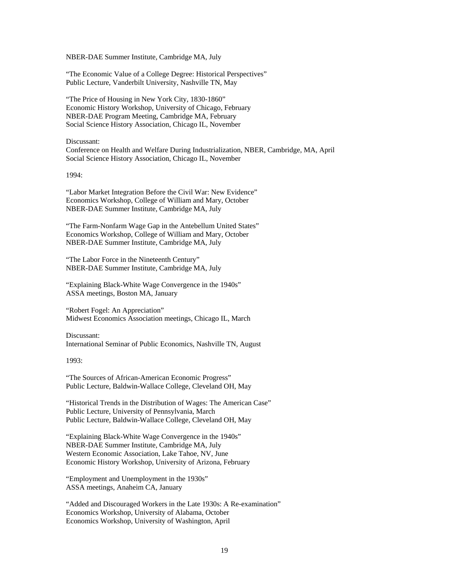NBER-DAE Summer Institute, Cambridge MA, July

"The Economic Value of a College Degree: Historical Perspectives" Public Lecture, Vanderbilt University, Nashville TN, May

"The Price of Housing in New York City, 1830-1860" Economic History Workshop, University of Chicago, February NBER-DAE Program Meeting, Cambridge MA, February Social Science History Association, Chicago IL, November

Discussant:

Conference on Health and Welfare During Industrialization, NBER, Cambridge, MA, April Social Science History Association, Chicago IL, November

1994:

"Labor Market Integration Before the Civil War: New Evidence" Economics Workshop, College of William and Mary, October NBER-DAE Summer Institute, Cambridge MA, July

"The Farm-Nonfarm Wage Gap in the Antebellum United States" Economics Workshop, College of William and Mary, October NBER-DAE Summer Institute, Cambridge MA, July

"The Labor Force in the Nineteenth Century" NBER-DAE Summer Institute, Cambridge MA, July

"Explaining Black-White Wage Convergence in the 1940s" ASSA meetings, Boston MA, January

"Robert Fogel: An Appreciation" Midwest Economics Association meetings, Chicago IL, March

Discussant:

International Seminar of Public Economics, Nashville TN, August

1993:

"The Sources of African-American Economic Progress" Public Lecture, Baldwin-Wallace College, Cleveland OH, May

"Historical Trends in the Distribution of Wages: The American Case" Public Lecture, University of Pennsylvania, March Public Lecture, Baldwin-Wallace College, Cleveland OH, May

"Explaining Black-White Wage Convergence in the 1940s" NBER-DAE Summer Institute, Cambridge MA, July Western Economic Association, Lake Tahoe, NV, June Economic History Workshop, University of Arizona, February

"Employment and Unemployment in the 1930s" ASSA meetings, Anaheim CA, January

"Added and Discouraged Workers in the Late 1930s: A Re-examination" Economics Workshop, University of Alabama, October Economics Workshop, University of Washington, April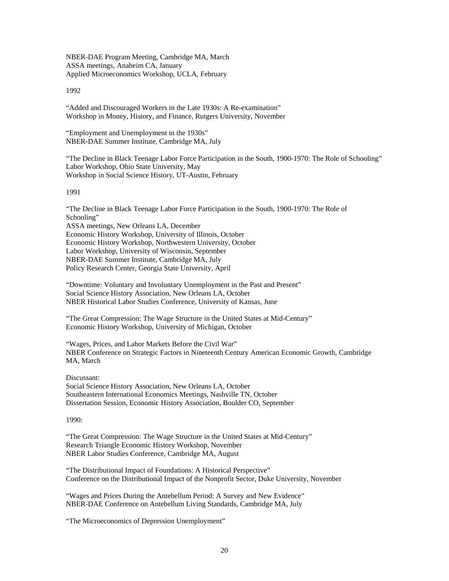NBER-DAE Program Meeting, Cambridge MA, March ASSA meetings, Anaheim CA, January Applied Microeconomics Workshop, UCLA, February

1992

"Added and Discouraged Workers in the Late 1930s: A Re-examination" Workshop in Money, History, and Finance, Rutgers University, November

"Employment and Unemployment in the 1930s" NBER-DAE Summer Institute, Cambridge MA, July

"The Decline in Black Teenage Labor Force Participation in the South, 1900-1970: The Role of Schooling" Labor Workshop, Ohio State University, May Workshop in Social Science History, UT-Austin, February

1991

"The Decline in Black Teenage Labor Force Participation in the South, 1900-1970: The Role of Schooling" ASSA meetings, New Orleans LA, December Economic History Workshop, University of Illinois, October Economic History Workshop, Northwestern University, October Labor Workshop, University of Wisconsin, September NBER-DAE Summer Institute, Cambridge MA, July Policy Research Center, Georgia State University, April

"Downtime: Voluntary and Involuntary Unemployment in the Past and Present" Social Science History Association, New Orleans LA, October NBER Historical Labor Studies Conference, University of Kansas, June

"The Great Compression: The Wage Structure in the United States at Mid-Century" Economic History Workshop, University of Michigan, October

"Wages, Prices, and Labor Markets Before the Civil War" NBER Conference on Strategic Factors in Nineteenth Century American Economic Growth, Cambridge MA, March

Discussant:

Social Science History Association, New Orleans LA, October Southeastern International Economics Meetings, Nashville TN, October Dissertation Session, Economic History Association, Boulder CO, September

1990:

"The Great Compression: The Wage Structure in the United States at Mid-Century" Research Triangle Economic History Workshop, November NBER Labor Studies Conference, Cambridge MA, August

"The Distributional Impact of Foundations: A Historical Perspective" Conference on the Distributional Impact of the Nonprofit Sector, Duke University, November

"Wages and Prices During the Antebellum Period: A Survey and New Evidence" NBER-DAE Conference on Antebellum Living Standards, Cambridge MA, July

"The Microeconomics of Depression Unemployment"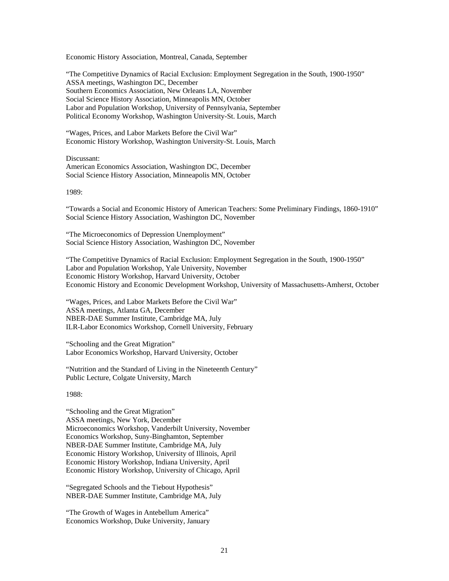Economic History Association, Montreal, Canada, September

"The Competitive Dynamics of Racial Exclusion: Employment Segregation in the South, 1900-1950" ASSA meetings, Washington DC, December Southern Economics Association, New Orleans LA, November Social Science History Association, Minneapolis MN, October Labor and Population Workshop, University of Pennsylvania, September Political Economy Workshop, Washington University-St. Louis, March

"Wages, Prices, and Labor Markets Before the Civil War" Economic History Workshop, Washington University-St. Louis, March

Discussant: American Economics Association, Washington DC, December Social Science History Association, Minneapolis MN, October

1989:

"Towards a Social and Economic History of American Teachers: Some Preliminary Findings, 1860-1910" Social Science History Association, Washington DC, November

"The Microeconomics of Depression Unemployment" Social Science History Association, Washington DC, November

"The Competitive Dynamics of Racial Exclusion: Employment Segregation in the South, 1900-1950" Labor and Population Workshop, Yale University, November Economic History Workshop, Harvard University, October Economic History and Economic Development Workshop, University of Massachusetts-Amherst, October

"Wages, Prices, and Labor Markets Before the Civil War" ASSA meetings, Atlanta GA, December NBER-DAE Summer Institute, Cambridge MA, July ILR-Labor Economics Workshop, Cornell University, February

"Schooling and the Great Migration" Labor Economics Workshop, Harvard University, October

"Nutrition and the Standard of Living in the Nineteenth Century" Public Lecture, Colgate University, March

1988:

"Schooling and the Great Migration" ASSA meetings, New York, December Microeconomics Workshop, Vanderbilt University, November Economics Workshop, Suny-Binghamton, September NBER-DAE Summer Institute, Cambridge MA, July Economic History Workshop, University of Illinois, April Economic History Workshop, Indiana University, April Economic History Workshop, University of Chicago, April

"Segregated Schools and the Tiebout Hypothesis" NBER-DAE Summer Institute, Cambridge MA, July

"The Growth of Wages in Antebellum America" Economics Workshop, Duke University, January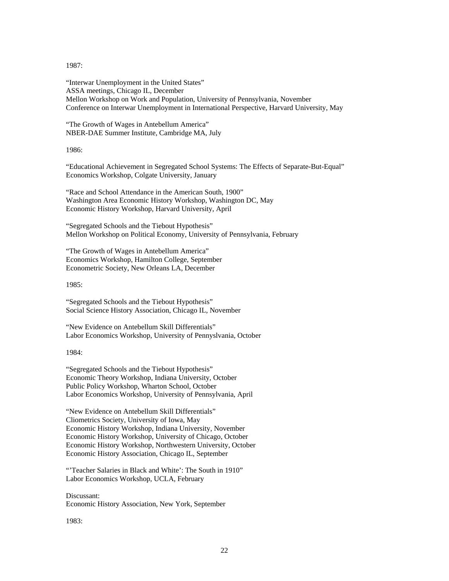1987:

"Interwar Unemployment in the United States" ASSA meetings, Chicago IL, December Mellon Workshop on Work and Population, University of Pennsylvania, November Conference on Interwar Unemployment in International Perspective, Harvard University, May

"The Growth of Wages in Antebellum America" NBER-DAE Summer Institute, Cambridge MA, July

1986:

"Educational Achievement in Segregated School Systems: The Effects of Separate-But-Equal" Economics Workshop, Colgate University, January

"Race and School Attendance in the American South, 1900" Washington Area Economic History Workshop, Washington DC, May Economic History Workshop, Harvard University, April

"Segregated Schools and the Tiebout Hypothesis" Mellon Workshop on Political Economy, University of Pennsylvania, February

"The Growth of Wages in Antebellum America" Economics Workshop, Hamilton College, September Econometric Society, New Orleans LA, December

1985:

"Segregated Schools and the Tiebout Hypothesis" Social Science History Association, Chicago IL, November

"New Evidence on Antebellum Skill Differentials" Labor Economics Workshop, University of Pennyslvania, October

1984:

"Segregated Schools and the Tiebout Hypothesis" Economic Theory Workshop, Indiana University, October Public Policy Workshop, Wharton School, October Labor Economics Workshop, University of Pennsylvania, April

"New Evidence on Antebellum Skill Differentials" Cliometrics Society, University of Iowa, May Economic History Workshop, Indiana University, November Economic History Workshop, University of Chicago, October Economic History Workshop, Northwestern University, October Economic History Association, Chicago IL, September

"Teacher Salaries in Black and White': The South in 1910" Labor Economics Workshop, UCLA, February

Discussant: Economic History Association, New York, September

1983: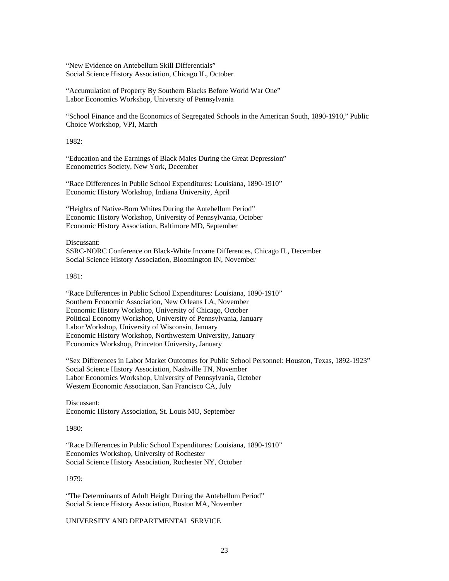"New Evidence on Antebellum Skill Differentials" Social Science History Association, Chicago IL, October

"Accumulation of Property By Southern Blacks Before World War One" Labor Economics Workshop, University of Pennsylvania

"School Finance and the Economics of Segregated Schools in the American South, 1890-1910," Public Choice Workshop, VPI, March

1982:

"Education and the Earnings of Black Males During the Great Depression" Econometrics Society, New York, December

"Race Differences in Public School Expenditures: Louisiana, 1890-1910" Economic History Workshop, Indiana University, April

"Heights of Native-Born Whites During the Antebellum Period" Economic History Workshop, University of Pennsylvania, October Economic History Association, Baltimore MD, September

Discussant: SSRC-NORC Conference on Black-White Income Differences, Chicago IL, December Social Science History Association, Bloomington IN, November

1981:

"Race Differences in Public School Expenditures: Louisiana, 1890-1910" Southern Economic Association, New Orleans LA, November Economic History Workshop, University of Chicago, October Political Economy Workshop, University of Pennsylvania, January Labor Workshop, University of Wisconsin, January Economic History Workshop, Northwestern University, January Economics Workshop, Princeton University, January

"Sex Differences in Labor Market Outcomes for Public School Personnel: Houston, Texas, 1892-1923" Social Science History Association, Nashville TN, November Labor Economics Workshop, University of Pennsylvania, October Western Economic Association, San Francisco CA, July

Discussant: Economic History Association, St. Louis MO, September

1980:

"Race Differences in Public School Expenditures: Louisiana, 1890-1910" Economics Workshop, University of Rochester Social Science History Association, Rochester NY, October

1979:

"The Determinants of Adult Height During the Antebellum Period" Social Science History Association, Boston MA, November

UNIVERSITY AND DEPARTMENTAL SERVICE